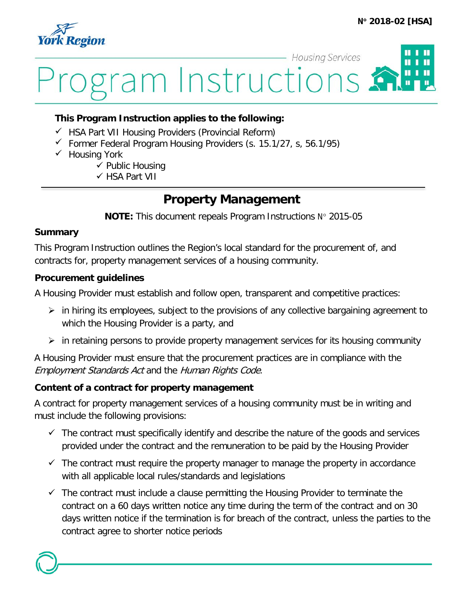

# **Housing Services** П ram Instructions.

#### **This Program Instruction applies to the following:**

- $\checkmark$  HSA Part VII Housing Providers (Provincial Reform)
- $\checkmark$  Former Federal Program Housing Providers (s. 15.1/27, s, 56.1/95)
- $\checkmark$  Housing York
	- $\checkmark$  Public Housing
	- HSA Part VII

## **Property Management**

**NOTE:** This document repeals Program Instructions N° 2015-05

#### **Summary**

This Program Instruction outlines the Region's local standard for the procurement of, and contracts for, property management services of a housing community.

#### **Procurement guidelines**

A Housing Provider must establish and follow open, transparent and competitive practices:

- $\triangleright$  in hiring its employees, subject to the provisions of any collective bargaining agreement to which the Housing Provider is a party, and
- $\triangleright$  in retaining persons to provide property management services for its housing community

A Housing Provider must ensure that the procurement practices are in compliance with the Employment Standards Act and the Human Rights Code.

#### **Content of a contract for property management**

A contract for property management services of a housing community must be in writing and must include the following provisions:

- $\checkmark$  The contract must specifically identify and describe the nature of the goods and services provided under the contract and the remuneration to be paid by the Housing Provider
- $\checkmark$  The contract must require the property manager to manage the property in accordance with all applicable local rules/standards and legislations
- $\checkmark$  The contract must include a clause permitting the Housing Provider to terminate the contract on a 60 days written notice any time during the term of the contract and on 30 days written notice if the termination is for breach of the contract, unless the parties to the contract agree to shorter notice periods